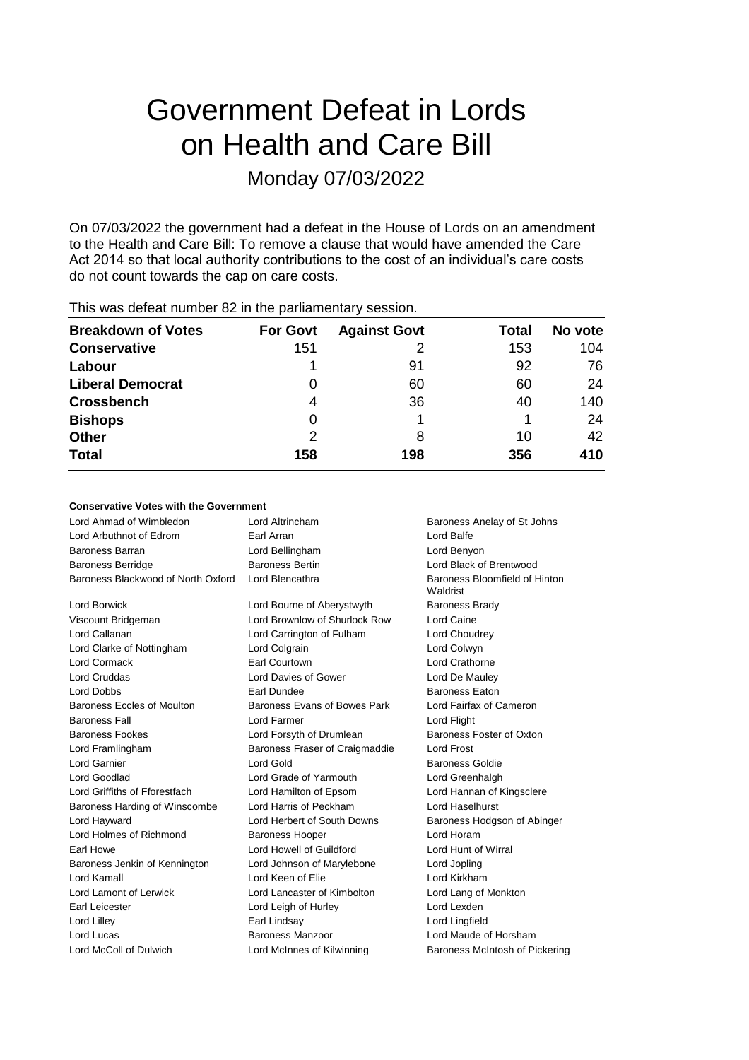# Government Defeat in Lords on Health and Care Bill Monday 07/03/2022

On 07/03/2022 the government had a defeat in the House of Lords on an amendment to the Health and Care Bill: To remove a clause that would have amended the Care Act 2014 so that local authority contributions to the cost of an individual's care costs do not count towards the cap on care costs.

| <b>Breakdown of Votes</b> | <b>For Govt</b> | <b>Against Govt</b> | Total | No vote |
|---------------------------|-----------------|---------------------|-------|---------|
| <b>Conservative</b>       | 151             |                     | 153   | 104     |
| Labour                    |                 | 91                  | 92    | 76      |
| <b>Liberal Democrat</b>   | 0               | 60                  | 60    | 24      |
| <b>Crossbench</b>         | 4               | 36                  | 40    | 140     |
| <b>Bishops</b>            | 0               |                     |       | 24      |
| <b>Other</b>              | 2               | 8                   | 10    | 42      |
| <b>Total</b>              | 158             | 198                 | 356   | 410     |
|                           |                 |                     |       |         |

This was defeat number 82 in the parliamentary session.

# **Conservative Votes with the Government**

| Lord Ahmad of Wimbledon            | Lord Altrincham                | Baroness Anelay of St Johns               |
|------------------------------------|--------------------------------|-------------------------------------------|
| Lord Arbuthnot of Edrom            | Earl Arran                     | Lord Balfe                                |
| <b>Baroness Barran</b>             | Lord Bellingham                | Lord Benyon                               |
| <b>Baroness Berridge</b>           | <b>Baroness Bertin</b>         | Lord Black of Brentwood                   |
| Baroness Blackwood of North Oxford | Lord Blencathra                | Baroness Bloomfield of Hinton<br>Waldrist |
| Lord Borwick                       | Lord Bourne of Aberystwyth     | <b>Baroness Brady</b>                     |
| Viscount Bridgeman                 | Lord Brownlow of Shurlock Row  | Lord Caine                                |
| Lord Callanan                      | Lord Carrington of Fulham      | Lord Choudrey                             |
| Lord Clarke of Nottingham          | Lord Colgrain                  | Lord Colwyn                               |
| Lord Cormack                       | Earl Courtown                  | Lord Crathorne                            |
| <b>Lord Cruddas</b>                | Lord Davies of Gower           | Lord De Mauley                            |
| Lord Dobbs                         | Earl Dundee                    | <b>Baroness Eaton</b>                     |
| <b>Baroness Eccles of Moulton</b>  | Baroness Evans of Bowes Park   | Lord Fairfax of Cameron                   |
| <b>Baroness Fall</b>               | Lord Farmer                    | Lord Flight                               |
| <b>Baroness Fookes</b>             | Lord Forsyth of Drumlean       | Baroness Foster of Oxton                  |
| Lord Framlingham                   | Baroness Fraser of Craigmaddie | Lord Frost                                |
| <b>Lord Garnier</b>                | Lord Gold                      | <b>Baroness Goldie</b>                    |
| Lord Goodlad                       | Lord Grade of Yarmouth         | Lord Greenhalgh                           |
| Lord Griffiths of Fforestfach      | Lord Hamilton of Epsom         | Lord Hannan of Kingsclere                 |
| Baroness Harding of Winscombe      | Lord Harris of Peckham         | Lord Haselhurst                           |
| Lord Hayward                       | Lord Herbert of South Downs    | Baroness Hodgson of Abinger               |
| Lord Holmes of Richmond            | <b>Baroness Hooper</b>         | Lord Horam                                |
| Earl Howe                          | Lord Howell of Guildford       | Lord Hunt of Wirral                       |
| Baroness Jenkin of Kennington      | Lord Johnson of Marylebone     | Lord Jopling                              |
| Lord Kamall                        | Lord Keen of Elie              | Lord Kirkham                              |
| Lord Lamont of Lerwick             | Lord Lancaster of Kimbolton    | Lord Lang of Monkton                      |
| Earl Leicester                     | Lord Leigh of Hurley           | Lord Lexden                               |
| Lord Lilley                        | Earl Lindsay                   | Lord Lingfield                            |
| Lord Lucas                         | Baroness Manzoor               | Lord Maude of Horsham                     |
| Lord McColl of Dulwich             | Lord McInnes of Kilwinning     | Baroness McIntosh of Pickering            |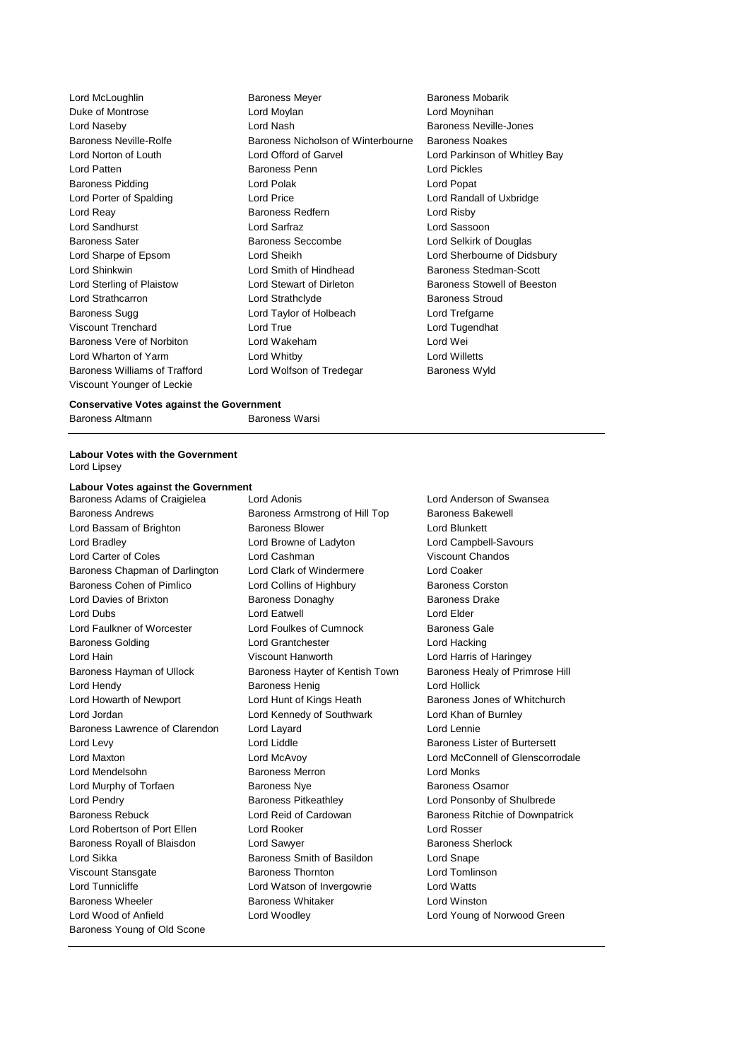Viscount Younger of Leckie

Lord McLoughlin **Baroness Meyer** Baroness Mobarik Duke of Montrose Lord Moylan Lord Moynihan Lord Naseby Lord Nash Baroness Neville-Jones Baroness Neville-Rolfe Baroness Nicholson of Winterbourne Baroness Noakes Lord Norton of Louth Lord Offord of Garvel Lord Parkinson of Whitley Bay Lord Patten Baroness Penn Lord Pickles Baroness Pidding **Lord Polak Lord Polace Lord Popat** Lord Popat Lord Porter of Spalding Lord Price Lord Randall of Uxbridge Lord Reay Baroness Redfern Lord Risby Lord Sandhurst Lord Sarfraz Lord Sassoon Baroness Seccombe Lord Selkirk of Douglas Lord Sharpe of Epsom Lord Sheikh Lord Sherbourne of Didsbury Lord Shinkwin **Lord Smith of Hindhead** Baroness Stedman-Scott Lord Sterling of Plaistow **Lord Stewart of Dirleton** Baroness Stowell of Beeston Lord Strathcarron **Lord Strathclyde** Exercise Stroud Baroness Stroud<br>
Baroness Sugg **Constrained Baroness Sugg Constrained Baroness Sugg Constrained Baroness Sugg** Lord Taylor of Holbeach Lord Trefgarne Viscount Trenchard Lord True Lord Tugendhat Baroness Vere of Norbiton Lord Wakeham Lord Wei Lord Wharton of Yarm Lord Whitby Lord Willetts Baroness Williams of Trafford Lord Wolfson of Tredegar Baroness Wyld

#### **Conservative Votes against the Government**

Baroness Altmann Baroness Warsi

#### **Labour Votes with the Government** Lord Lipsey

#### **Labour Votes against the Government**

Baroness Adams of Craigielea Lord Adonis Lord Anderson of Swansea Baroness Andrews **Baroness Armstrong of Hill Top** Baroness Bakewell Lord Bassam of Brighton **Baroness Blower Baroness Blower** Lord Blunkett Lord Bradley Lord Browne of Ladyton Lord Campbell-Savours Lord Carter of Coles Lord Cashman Viscount Chandos Baroness Chapman of Darlington Lord Clark of Windermere Lord Coaker Baroness Cohen of Pimlico **Lord Collins of Highbury** Baroness Corston Lord Davies of Brixton **Baroness Donaghy** Baroness Davies Drake Lord Dubs Lord Eatwell Lord Elder Lord Faulkner of Worcester **Lord Foulkes of Cumnock** Baroness Gale Baroness Golding Lord Grantchester Lord Hacking Lord Hain Viscount Hanworth Lord Harris of Haringey Baroness Hayman of Ullock Baroness Hayter of Kentish Town Baroness Healy of Primrose Hill Lord Hendy Baroness Henig Lord Hollick Lord Howarth of Newport Lord Hunt of Kings Heath Baroness Jones of Whitchurch Lord Jordan Lord Kennedy of Southwark Lord Khan of Burnley Baroness Lawrence of Clarendon Lord Layard Lord Lennie Lord Levy **Lord Liddle Lord Liddle Baroness Lister of Burtersett** Lord Mendelsohn Baroness Merron Lord Monks Lord Murphy of Torfaen **Baroness Nye** Baroness Nye Baroness Osamor Lord Pendry **Baroness Pitkeathley Community Community** Lord Ponsonby of Shulbrede Baroness Rebuck **Lord Reid of Cardowan** Baroness Ritchie of Downpatrick Lord Robertson of Port Ellen Lord Rooker Lord Rosser Baroness Royall of Blaisdon **Lord Sawyer Communist Communist Communist** Baroness Sherlock Lord Sikka **Baroness Smith of Basildon** Lord Snape Viscount Stansgate Baroness Thornton Lord Tomlinson Lord Tunnicliffe Lord Watson of Invergowrie Lord Watts Baroness Wheeler **Baroness Whitaker Baroness Whitaker** Lord Winston Lord Wood of Anfield Lord Woodley Lord Young of Norwood Green Baroness Young of Old Scone

Lord Maxton Lord McAvoy Lord McConnell of Glenscorrodale